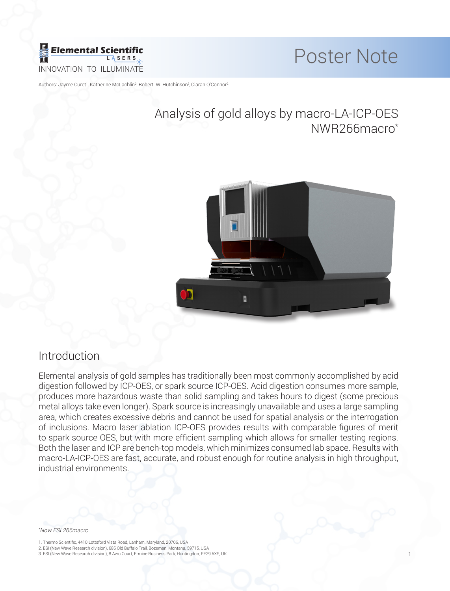

1

Authors: Jayme Curet<sup>1</sup>, Katherine McLachlin<sup>2</sup>, Robert. W. Hutchinson<sup>3</sup>,Ciaran O'Connor<sup>2</sup>

# Analysis of gold alloys by macro-LA-ICP-OES NWR266macro\*



### Introduction

Elemental analysis of gold samples has traditionally been most commonly accomplished by acid digestion followed by ICP-OES, or spark source ICP-OES. Acid digestion consumes more sample, produces more hazardous waste than solid sampling and takes hours to digest (some precious metal alloys take even longer). Spark source is increasingly unavailable and uses a large sampling area, which creates excessive debris and cannot be used for spatial analysis or the interrogation of inclusions. Macro laser ablation ICP-OES provides results with comparable figures of merit to spark source OES, but with more efficient sampling which allows for smaller testing regions. Both the laser and ICP are bench-top models, which minimizes consumed lab space. Results with macro-LA-ICP-OES are fast, accurate, and robust enough for routine analysis in high throughput, industrial environments.

### \* Now ESL266macro

- 1. Thermo Scientific, 4410 Lottsford Vista Road, Lanham, Maryland, 20706, USA
- 2. ESI (New Wave Research division), 685 Old Buffalo Trail, Bozeman, Montana, 59715, USA
- 3. ESI (New Wave Research division), 8 Avro Court, Ermine Business Park, Huntingdon, PE29 6XS, UK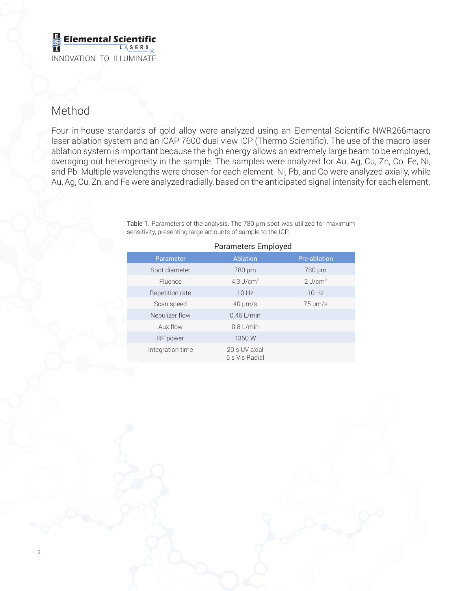### **Elemental Scienti L A SER S** INNOVATION TO ILLUMINATE

# Method

 $\overline{2}$ 

Four in-house standards of gold alloy were analyzed using an Elemental Scientific NWR266macro laser ablation system and an iCAP 7600 dual view ICP (Thermo Scientific). The use of the macro laser ablation system is important because the high energy allows an extremely large beam to be employed, averaging out heterogeneity in the sample. The samples were analyzed for Au, Ag, Cu, Zn, Co, Fe, Ni, and Pb. Multiple wavelengths were chosen for each element. Ni, Pb, and Co were analyzed axially, while Au, Ag, Cu, Zn, and Fe were analyzed radially, based on the anticipated signal intensity for each element.

| <b>Parameters Employed</b> |                                 |                       |  |  |  |  |  |  |
|----------------------------|---------------------------------|-----------------------|--|--|--|--|--|--|
| Parameter                  | Ablation                        | Pre-ablation          |  |  |  |  |  |  |
| Spot diameter              | 780 µm                          | 780 µm                |  |  |  |  |  |  |
| <b>Fluence</b>             | 4.3 $J/cm2$                     | $2$ J/cm <sup>2</sup> |  |  |  |  |  |  |
| Repetition rate            | 10 Hz                           | 10 Hz                 |  |  |  |  |  |  |
| Scan speed                 | $40 \mu m/s$                    | $75 \mu m/s$          |  |  |  |  |  |  |
| Nebulizer flow             | $0.45$ L/min                    |                       |  |  |  |  |  |  |
| Aux flow                   | $0.8$ L/min                     |                       |  |  |  |  |  |  |
| RF power                   | 1350 W                          |                       |  |  |  |  |  |  |
| Integration time           | 20 s UV axial<br>5 s Vis Radial |                       |  |  |  |  |  |  |

Table 1. Parameters of the analysis. The 780 µm spot was utilized for maximum sensitivity, presenting large amounts of sample to the ICP.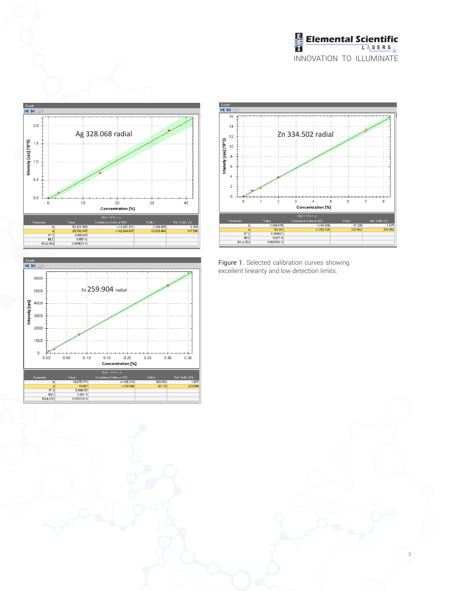





 $\,0\,$  $\dot{0}$  $\dot{\bf 6}$ 3 Concentration [%] Concentration [%]<br> $f(x) = b^*x + a$ <br>dence Delta at 90%<br> $\rightarrow$ -200.720<br> $\rightarrow$ -200.720 .<br>StdErr 1,884.076 37.208<br>122.562 1.975<br>243.852 50.26  $\begin{array}{r} 50.261 \\ \hline 0.998831 \\ \hline 0.027 \frac{\pi}{6} \\ 0.002918 \frac{\pi}{6} \end{array}$  $R^2$ <br> $R^2$ <br> $BEC$ <br> $|DL(LOD)$ 

excellent linearity and low detection limits.

 $|p|$ 

Details<br>KBI  $\overline{16}$  $\frac{1}{4}$ 

> $10^{\circ}$  $_{\rm 8}$  $_{\rm 6}$  $\overline{4}$

 $\,2$ 

 $\sum_{\substack{10 \text{odd } n \text{ odd}}}^{\infty}$   $\sum_{\substack{10 \text{odd } n \text{ odd}}}^{\infty}$  2n 334.502 radial